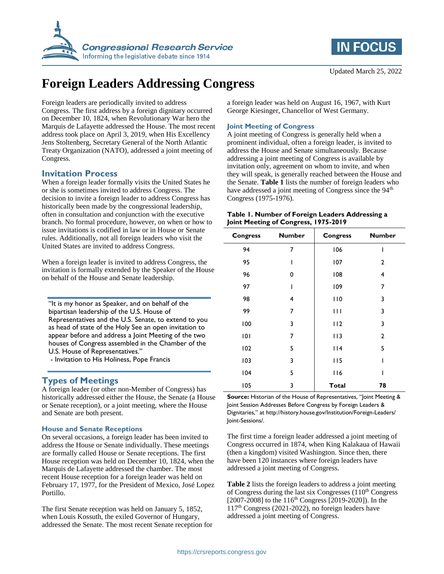



# **Foreign Leaders Addressing Congress**

Foreign leaders are periodically invited to address Congress. The first address by a foreign dignitary occurred on December 10, 1824, when Revolutionary War hero the Marquis de Lafayette addressed the House. The most recent address took place on April 3, 2019, when His Excellency Jens Stoltenberg, Secretary General of the North Atlantic Treaty Organization (NATO), addressed a joint meeting of Congress.

# **Invitation Process**

When a foreign leader formally visits the United States he or she is sometimes invited to address Congress. The decision to invite a foreign leader to address Congress has historically been made by the congressional leadership, often in consultation and conjunction with the executive branch. No formal procedure, however, on when or how to issue invitations is codified in law or in House or Senate rules. Additionally, not all foreign leaders who visit the United States are invited to address Congress.

When a foreign leader is invited to address Congress, the invitation is formally extended by the Speaker of the House on behalf of the House and Senate leadership.

"It is my honor as Speaker, and on behalf of the bipartisan leadership of the U.S. House of Representatives and the U.S. Senate, to extend to you as head of state of the Holy See an open invitation to appear before and address a Joint Meeting of the two houses of Congress assembled in the Chamber of the U.S. House of Representatives."

- Invitation to His Holiness, Pope Francis

# **Types of Meetings**

A foreign leader (or other non-Member of Congress) has historically addressed either the House, the Senate (a House or Senate reception), or a joint meeting, where the House and Senate are both present.

#### **House and Senate Receptions**

On several occasions, a foreign leader has been invited to address the House or Senate individually. These meetings are formally called House or Senate receptions. The first House reception was held on December 10, 1824, when the Marquis de Lafayette addressed the chamber. The most recent House reception for a foreign leader was held on February 17, 1977, for the President of Mexico, José Lopez Portillo.

The first Senate reception was held on January 5, 1852, when Louis Kossuth, the exiled Governor of Hungary, addressed the Senate. The most recent Senate reception for a foreign leader was held on August 16, 1967, with Kurt George Kiesinger, Chancellor of West Germany.

#### **Joint Meeting of Congress**

A joint meeting of Congress is generally held when a prominent individual, often a foreign leader, is invited to address the House and Senate simultaneously. Because addressing a joint meeting of Congress is available by invitation only, agreement on whom to invite, and when they will speak, is generally reached between the House and the Senate. **[Table 1](#page-0-0)** lists the number of foreign leaders who have addressed a joint meeting of Congress since the 94<sup>th</sup> Congress (1975-1976).

<span id="page-0-0"></span>

| Table 1. Number of Foreign Leaders Addressing a |
|-------------------------------------------------|
| Joint Meeting of Congress, 1975-2019            |

| <b>Congress</b> | <b>Number</b> | <b>Congress</b> | <b>Number</b>  |
|-----------------|---------------|-----------------|----------------|
| 94              | 7             | 106             | ı              |
| 95              | ı             | 107             | $\overline{2}$ |
| 96              | 0             | 108             | 4              |
| 97              | ı             | 109             | $\overline{7}$ |
| 98              | 4             | 110             | 3              |
| 99              | 7             | Ш               | 3              |
| 100             | 3             | 112             | 3              |
| 101             | 7             | 113             | $\overline{2}$ |
| 102             | 5             | 114             | 5              |
| 103             | 3             | 115             |                |
| 104             | 5             | 116             |                |
| 105             | 3             | <b>Total</b>    | 78             |

**Source:** Historian of the House of Representatives, "Joint Meeting & Joint Session Addresses Before Congress by Foreign Leaders & Dignitaries," at http://history.house.gov/Institution/Foreign-Leaders/ Joint-Sessions/.

The first time a foreign leader addressed a joint meeting of Congress occurred in 1874, when King Kalakaua of Hawaii (then a kingdom) visited Washington. Since then, there have been 120 instances where foreign leaders have addressed a joint meeting of Congress.

**[Table 2](#page-1-0)** lists the foreign leaders to address a joint meeting of Congress during the last six Congresses  $(110<sup>th</sup> Congress)$ [2007-2008] to the 116<sup>th</sup> Congress [2019-2020]). In the  $117<sup>th</sup> Congress (2021-2022)$ , no foreign leaders have addressed a joint meeting of Congress.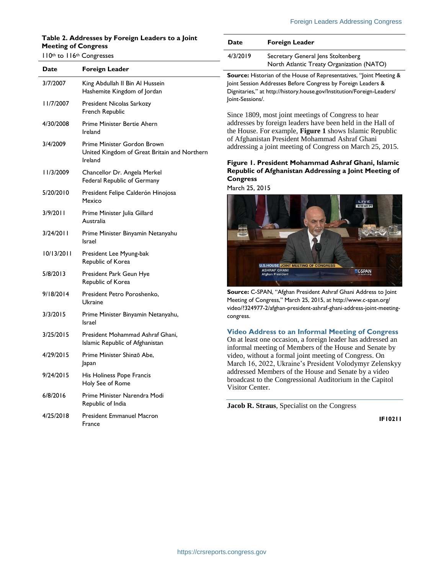### <span id="page-1-0"></span>**Table 2. Addresses by Foreign Leaders to a Joint Meeting of Congress**

#### 110th to 116th Congresses

| Date       | Foreign Leader                                                                         |
|------------|----------------------------------------------------------------------------------------|
| 3/7/2007   | King Abdullah II Bin Al Hussein<br>Hashemite Kingdom of Jordan                         |
| 11/7/2007  | President Nicolas Sarkozy<br>French Republic                                           |
| 4/30/2008  | Prime Minister Bertie Ahern<br>Ireland                                                 |
| 3/4/2009   | Prime Minister Gordon Brown<br>United Kingdom of Great Britain and Northern<br>Ireland |
| 11/3/2009  | Chancellor Dr. Angela Merkel<br>Federal Republic of Germany                            |
| 5/20/2010  | President Felipe Calderón Hinojosa<br>Mexico                                           |
| 3/9/2011   | Prime Minister Julia Gillard<br>Australia                                              |
| 3/24/2011  | Prime Minister Binyamin Netanyahu<br>Israel                                            |
| 10/13/2011 | President Lee Myung-bak<br>Republic of Korea                                           |
| 5/8/2013   | President Park Geun Hye<br>Republic of Korea                                           |
| 9/18/2014  | President Petro Poroshenko,<br>Ukraine                                                 |
| 3/3/2015   | Prime Minister Binyamin Netanyahu,<br>Israel                                           |
| 3/25/2015  | President Mohammad Ashraf Ghani,<br>Islamic Republic of Afghanistan                    |
| 4/29/2015  | Prime Minister Shinzō Abe,<br>Japan                                                    |
| 9/24/2015  | His Holiness Pope Francis<br>Holy See of Rome                                          |
| 6/8/2016   | Prime Minister Narendra Modi<br>Republic of India                                      |
| 4/25/2018  | <b>President Emmanuel Macron</b><br>France                                             |

| <b>Date</b> | <b>Foreign Leader</b>                                                           |
|-------------|---------------------------------------------------------------------------------|
| 4/3/2019    | Secretary General Jens Stoltenberg<br>North Atlantic Treaty Organization (NATO) |

**Source:** Historian of the House of Representatives, "Joint Meeting & Joint Session Addresses Before Congress by Foreign Leaders & Dignitaries," at http://history.house.gov/Institution/Foreign-Leaders/ Joint-Sessions/.

Since 1809, most joint meetings of Congress to hear addresses by foreign leaders have been held in the Hall of the House. For example, **[Figure 1](#page-1-1)** shows Islamic Republic of Afghanistan President Mohammad Ashraf Ghani addressing a joint meeting of Congress on March 25, 2015.

#### <span id="page-1-1"></span>**Figure 1. President Mohammad Ashraf Ghani, Islamic Republic of Afghanistan Addressing a Joint Meeting of Congress**

March 25, 2015



**Source:** C-SPAN, "Afghan President Ashraf Ghani Address to Joint Meeting of Congress," March 25, 2015, at http://www.c-span.org/ video/?324977-2/afghan-president-ashraf-ghani-address-joint-meetingcongress.

#### **Video Address to an Informal Meeting of Congress**

On at least one occasion, a foreign leader has addressed an informal meeting of Members of the House and Senate by video, without a formal joint meeting of Congress. On March 16, 2022, Ukraine's President Volodymyr Zelenskyy addressed Members of the House and Senate by a video broadcast to the Congressional Auditorium in the Capitol Visitor Center.

**Jacob R. Straus**, Specialist on the Congress

**IF10211**